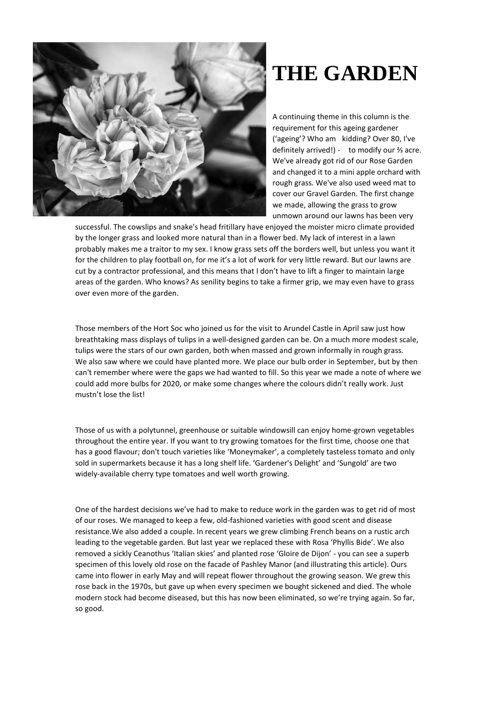

## **THE GARDEN**

A continuing theme in this column is the requirement for this ageing gardener ('ageing'? Who am kidding? Over 80, I've definitely arrived!) - to modify our ⅔ acre. We've already got rid of our Rose Garden and changed it to a mini apple orchard with rough grass. We've also used weed mat to cover our Gravel Garden. The first change we made, allowing the grass to grow unmown around our lawns has been very

successful. The cowslips and snake's head fritillary have enjoyed the moister micro climate provided by the longer grass and looked more natural than in a flower bed. My lack of interest in a lawn probably makes me a traitor to my sex. I know grass sets off the borders well, but unless you want it for the children to play football on, for me it's a lot of work for very little reward. But our lawns are cut by a contractor professional, and this means that I don't have to lift a finger to maintain large areas of the garden. Who knows? As senility begins to take a firmer grip, we may even have to grass over even more of the garden.

Those members of the Hort Soc who joined us for the visit to Arundel Castle in April saw just how breathtaking mass displays of tulips in a well-designed garden can be. On a much more modest scale, tulips were the stars of our own garden, both when massed and grown informally in rough grass. We also saw where we could have planted more. We place our bulb order in September, but by then can't remember where were the gaps we had wanted to fill. So this year we made a note of where we could add more bulbs for 2020, or make some changes where the colours didn't really work. Just mustn't lose the list!

Those of us with a polytunnel, greenhouse or suitable windowsill can enjoy home-grown vegetables throughout the entire year. If you want to try growing tomatoes for the first time, choose one that has a good flavour; don't touch varieties like 'Moneymaker', a completely tasteless tomato and only sold in supermarkets because it has a long shelf life. 'Gardener's Delight' and 'Sungold' are two widely-available cherry type tomatoes and well worth growing.

One of the hardest decisions we've had to make to reduce work in the garden was to get rid of most of our roses. We managed to keep a few, old-fashioned varieties with good scent and disease resistance.We also added a couple. In recent years we grew climbing French beans on a rustic arch leading to the vegetable garden. But last year we replaced these with Rosa 'Phyllis Bide'. We also removed a sickly Ceanothus 'Italian skies' and planted rose 'Gloire de Dijon' - you can see a superb specimen of this lovely old rose on the facade of Pashley Manor (and illustrating this article). Ours came into flower in early May and will repeat flower throughout the growing season. We grew this rose back in the 1970s, but gave up when every specimen we bought sickened and died. The whole modern stock had become diseased, but this has now been eliminated, so we're trying again. So far, so good.